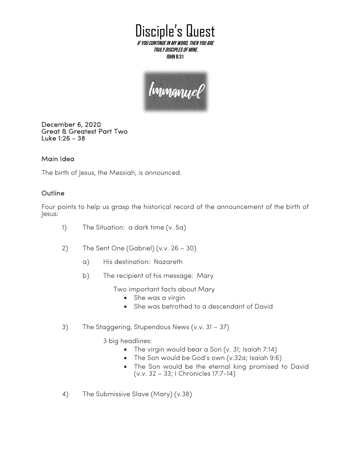Disciple's Quest If you continue in My word, then you are

truly disciples of Mine. John 8:31

Immanuel

December 6, 2020 Great & Greatest Part Two Luke 1:26 - 38

## Main Idea

The birth of Jesus, the Messiah, is announced.

## **Outline**

Four points to help us grasp the historical record of the announcement of the birth of Jesus:

- 1) The Situation: a dark time (v. 5a)
- 2) The Sent One (Gabriel) (v.v. 26 30)
	- a) His destination: Nazareth
	- b) The recipient of his message: Mary

Two important facts about Mary

- She was a virgin
- She was betrothed to a descendant of David
- 3) The Staggering, Stupendous News (v.v. 31 37)

3 big headlines:

- The virgin would bear a Son (v. 31; Isaiah 7:14)
- The Son would be God's own (v.32a; Isaiah 9:6)
- The Son would be the eternal king promised to David (v.v. 32 – 33; I Chronicles 17:7-14)
- 4) The Submissive Slave (Mary) (v.38)